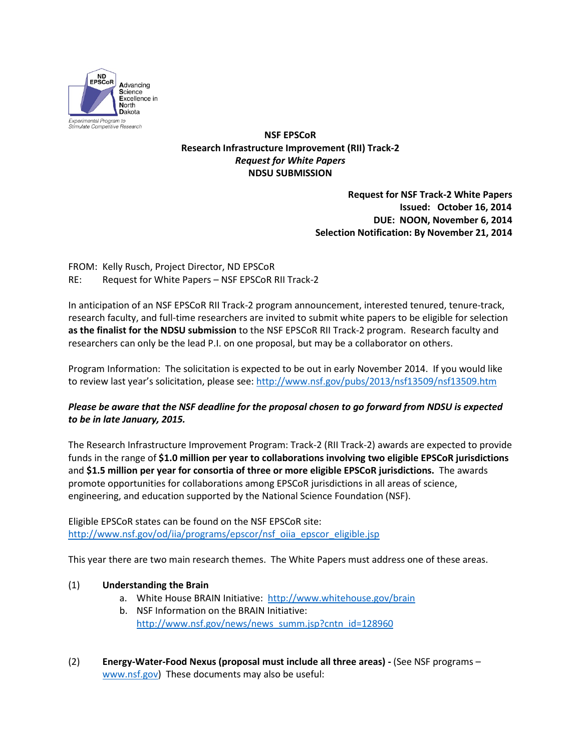

**NSF EPSCoR Research Infrastructure Improvement (RII) Track-2** *Request for White Papers* **NDSU SUBMISSION**

> **Request for NSF Track-2 White Papers Issued: October 16, 2014 DUE: NOON, November 6, 2014 Selection Notification: By November 21, 2014**

FROM: Kelly Rusch, Project Director, ND EPSCoR RE: Request for White Papers – NSF EPSCoR RII Track-2

In anticipation of an NSF EPSCoR RII Track-2 program announcement, interested tenured, tenure-track, research faculty, and full-time researchers are invited to submit white papers to be eligible for selection **as the finalist for the NDSU submission** to the NSF EPSCoR RII Track-2 program. Research faculty and researchers can only be the lead P.I. on one proposal, but may be a collaborator on others.

Program Information: The solicitation is expected to be out in early November 2014. If you would like to review last year's solicitation, please see:<http://www.nsf.gov/pubs/2013/nsf13509/nsf13509.htm>

## *Please be aware that the NSF deadline for the proposal chosen to go forward from NDSU is expected to be in late January, 2015.*

The Research Infrastructure Improvement Program: Track-2 (RII Track-2) awards are expected to provide funds in the range of **\$1.0 million per year to collaborations involving two eligible EPSCoR jurisdictions** and **\$1.5 million per year for consortia of three or more eligible EPSCoR jurisdictions.** The awards promote opportunities for collaborations among EPSCoR jurisdictions in all areas of science, engineering, and education supported by the National Science Foundation (NSF).

Eligible EPSCoR states can be found on the NSF EPSCoR site: [http://www.nsf.gov/od/iia/programs/epscor/nsf\\_oiia\\_epscor\\_eligible.jsp](http://www.nsf.gov/od/iia/programs/epscor/nsf_oiia_epscor_eligible.jsp)

This year there are two main research themes. The White Papers must address one of these areas.

## (1) **Understanding the Brain**

- a. White House BRAIN Initiative: <http://www.whitehouse.gov/brain>
- b. NSF Information on the BRAIN Initiative: [http://www.nsf.gov/news/news\\_summ.jsp?cntn\\_id=128960](http://www.nsf.gov/news/news_summ.jsp?cntn_id=128960)
- (2) **Energy-Water-Food Nexus (proposal must include all three areas) -** (See NSF programs [www.nsf.gov\)](http://www.nsf.gov/) These documents may also be useful: